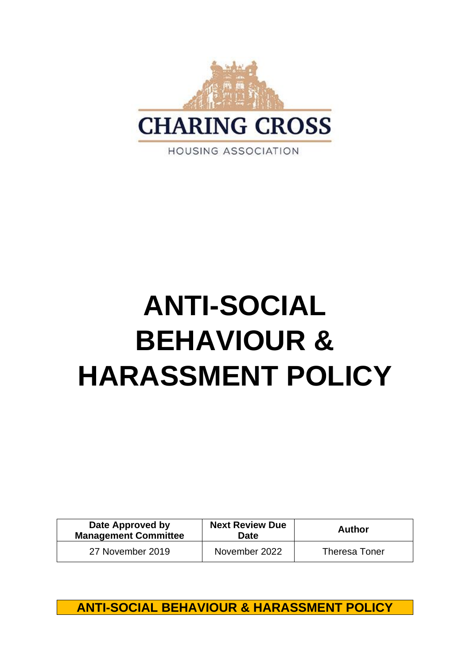

# **ANTI-SOCIAL BEHAVIOUR & HARASSMENT POLICY**

| Date Approved by<br><b>Management Committee</b> | <b>Next Review Due</b><br>Date | <b>Author</b>        |
|-------------------------------------------------|--------------------------------|----------------------|
| 27 November 2019                                | November 2022                  | <b>Theresa Toner</b> |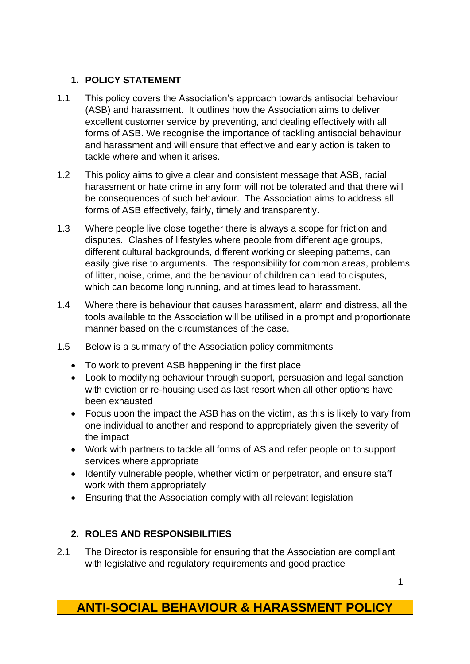#### **1. POLICY STATEMENT**

- 1.1 This policy covers the Association's approach towards antisocial behaviour (ASB) and harassment. It outlines how the Association aims to deliver excellent customer service by preventing, and dealing effectively with all forms of ASB. We recognise the importance of tackling antisocial behaviour and harassment and will ensure that effective and early action is taken to tackle where and when it arises.
- 1.2 This policy aims to give a clear and consistent message that ASB, racial harassment or hate crime in any form will not be tolerated and that there will be consequences of such behaviour. The Association aims to address all forms of ASB effectively, fairly, timely and transparently.
- 1.3 Where people live close together there is always a scope for friction and disputes. Clashes of lifestyles where people from different age groups, different cultural backgrounds, different working or sleeping patterns, can easily give rise to arguments. The responsibility for common areas, problems of litter, noise, crime, and the behaviour of children can lead to disputes, which can become long running, and at times lead to harassment.
- 1.4 Where there is behaviour that causes harassment, alarm and distress, all the tools available to the Association will be utilised in a prompt and proportionate manner based on the circumstances of the case.
- 1.5 Below is a summary of the Association policy commitments
	- To work to prevent ASB happening in the first place
	- Look to modifying behaviour through support, persuasion and legal sanction with eviction or re-housing used as last resort when all other options have been exhausted
	- Focus upon the impact the ASB has on the victim, as this is likely to vary from one individual to another and respond to appropriately given the severity of the impact
	- Work with partners to tackle all forms of AS and refer people on to support services where appropriate
	- Identify vulnerable people, whether victim or perpetrator, and ensure staff work with them appropriately
	- Ensuring that the Association comply with all relevant legislation

#### **2. ROLES AND RESPONSIBILITIES**

2.1 The Director is responsible for ensuring that the Association are compliant with legislative and regulatory requirements and good practice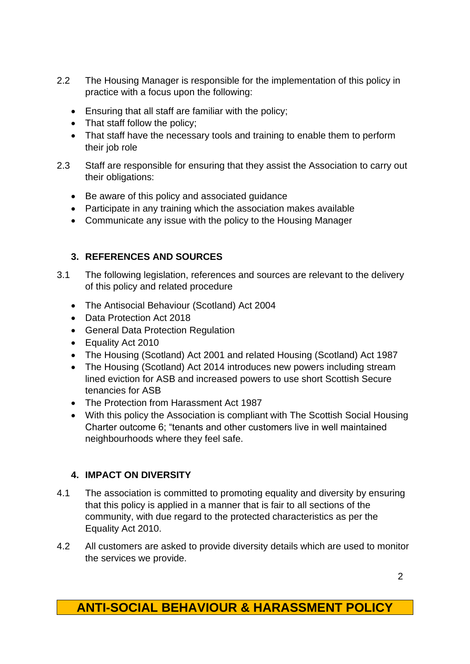- 2.2 The Housing Manager is responsible for the implementation of this policy in practice with a focus upon the following:
	- Ensuring that all staff are familiar with the policy;
	- That staff follow the policy;
	- That staff have the necessary tools and training to enable them to perform their job role
- 2.3 Staff are responsible for ensuring that they assist the Association to carry out their obligations:
	- Be aware of this policy and associated guidance
	- Participate in any training which the association makes available
	- Communicate any issue with the policy to the Housing Manager

#### **3. REFERENCES AND SOURCES**

- 3.1 The following legislation, references and sources are relevant to the delivery of this policy and related procedure
	- The Antisocial Behaviour (Scotland) Act 2004
	- Data Protection Act 2018
	- General Data Protection Regulation
	- Equality Act 2010
	- The Housing (Scotland) Act 2001 and related Housing (Scotland) Act 1987
	- The Housing (Scotland) Act 2014 introduces new powers including stream lined eviction for ASB and increased powers to use short Scottish Secure tenancies for ASB
	- The Protection from Harassment Act 1987
	- With this policy the Association is compliant with The Scottish Social Housing Charter outcome 6; "tenants and other customers live in well maintained neighbourhoods where they feel safe.

#### **4. IMPACT ON DIVERSITY**

- 4.1 The association is committed to promoting equality and diversity by ensuring that this policy is applied in a manner that is fair to all sections of the community, with due regard to the protected characteristics as per the Equality Act 2010.
- 4.2 All customers are asked to provide diversity details which are used to monitor the services we provide.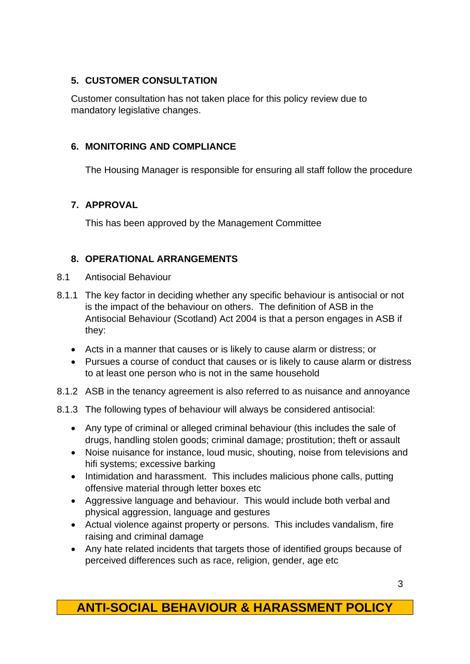#### **5. CUSTOMER CONSULTATION**

Customer consultation has not taken place for this policy review due to mandatory legislative changes.

#### **6. MONITORING AND COMPLIANCE**

The Housing Manager is responsible for ensuring all staff follow the procedure

#### **7. APPROVAL**

This has been approved by the Management Committee

#### **8. OPERATIONAL ARRANGEMENTS**

- 8.1 Antisocial Behaviour
- 8.1.1 The key factor in deciding whether any specific behaviour is antisocial or not is the impact of the behaviour on others. The definition of ASB in the Antisocial Behaviour (Scotland) Act 2004 is that a person engages in ASB if they:
	- Acts in a manner that causes or is likely to cause alarm or distress; or
	- Pursues a course of conduct that causes or is likely to cause alarm or distress to at least one person who is not in the same household
- 8.1.2 ASB in the tenancy agreement is also referred to as nuisance and annoyance
- 8.1.3 The following types of behaviour will always be considered antisocial:
	- Any type of criminal or alleged criminal behaviour (this includes the sale of drugs, handling stolen goods; criminal damage; prostitution; theft or assault
	- Noise nuisance for instance, loud music, shouting, noise from televisions and hifi systems; excessive barking
	- Intimidation and harassment. This includes malicious phone calls, putting offensive material through letter boxes etc
	- Aggressive language and behaviour. This would include both verbal and physical aggression, language and gestures
	- Actual violence against property or persons. This includes vandalism, fire raising and criminal damage
	- Any hate related incidents that targets those of identified groups because of perceived differences such as race, religion, gender, age etc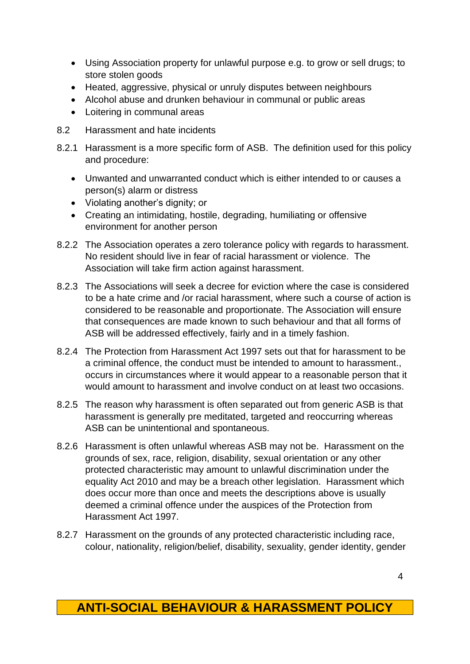- Using Association property for unlawful purpose e.g. to grow or sell drugs; to store stolen goods
- Heated, aggressive, physical or unruly disputes between neighbours
- Alcohol abuse and drunken behaviour in communal or public areas
- Loitering in communal areas
- 8.2 Harassment and hate incidents
- 8.2.1 Harassment is a more specific form of ASB. The definition used for this policy and procedure:
	- Unwanted and unwarranted conduct which is either intended to or causes a person(s) alarm or distress
	- Violating another's dignity; or
	- Creating an intimidating, hostile, degrading, humiliating or offensive environment for another person
- 8.2.2 The Association operates a zero tolerance policy with regards to harassment. No resident should live in fear of racial harassment or violence. The Association will take firm action against harassment.
- 8.2.3 The Associations will seek a decree for eviction where the case is considered to be a hate crime and /or racial harassment, where such a course of action is considered to be reasonable and proportionate. The Association will ensure that consequences are made known to such behaviour and that all forms of ASB will be addressed effectively, fairly and in a timely fashion.
- 8.2.4 The Protection from Harassment Act 1997 sets out that for harassment to be a criminal offence, the conduct must be intended to amount to harassment., occurs in circumstances where it would appear to a reasonable person that it would amount to harassment and involve conduct on at least two occasions.
- 8.2.5 The reason why harassment is often separated out from generic ASB is that harassment is generally pre meditated, targeted and reoccurring whereas ASB can be unintentional and spontaneous.
- 8.2.6 Harassment is often unlawful whereas ASB may not be. Harassment on the grounds of sex, race, religion, disability, sexual orientation or any other protected characteristic may amount to unlawful discrimination under the equality Act 2010 and may be a breach other legislation. Harassment which does occur more than once and meets the descriptions above is usually deemed a criminal offence under the auspices of the Protection from Harassment Act 1997.
- 8.2.7 Harassment on the grounds of any protected characteristic including race, colour, nationality, religion/belief, disability, sexuality, gender identity, gender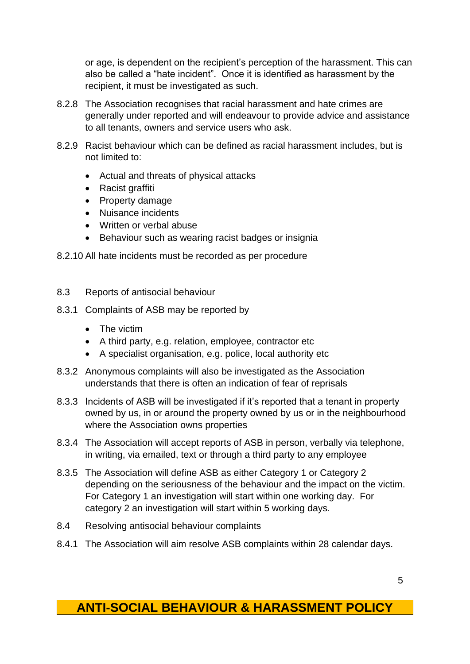or age, is dependent on the recipient's perception of the harassment. This can also be called a "hate incident". Once it is identified as harassment by the recipient, it must be investigated as such.

- 8.2.8 The Association recognises that racial harassment and hate crimes are generally under reported and will endeavour to provide advice and assistance to all tenants, owners and service users who ask.
- 8.2.9 Racist behaviour which can be defined as racial harassment includes, but is not limited to:
	- Actual and threats of physical attacks
	- Racist graffiti
	- Property damage
	- Nuisance incidents
	- Written or verbal abuse
	- Behaviour such as wearing racist badges or insignia
- 8.2.10 All hate incidents must be recorded as per procedure
- 8.3 Reports of antisocial behaviour
- 8.3.1 Complaints of ASB may be reported by
	- The victim
	- A third party, e.g. relation, employee, contractor etc
	- A specialist organisation, e.g. police, local authority etc
- 8.3.2 Anonymous complaints will also be investigated as the Association understands that there is often an indication of fear of reprisals
- 8.3.3 Incidents of ASB will be investigated if it's reported that a tenant in property owned by us, in or around the property owned by us or in the neighbourhood where the Association owns properties
- 8.3.4 The Association will accept reports of ASB in person, verbally via telephone, in writing, via emailed, text or through a third party to any employee
- 8.3.5 The Association will define ASB as either Category 1 or Category 2 depending on the seriousness of the behaviour and the impact on the victim. For Category 1 an investigation will start within one working day. For category 2 an investigation will start within 5 working days.
- 8.4 Resolving antisocial behaviour complaints
- 8.4.1 The Association will aim resolve ASB complaints within 28 calendar days.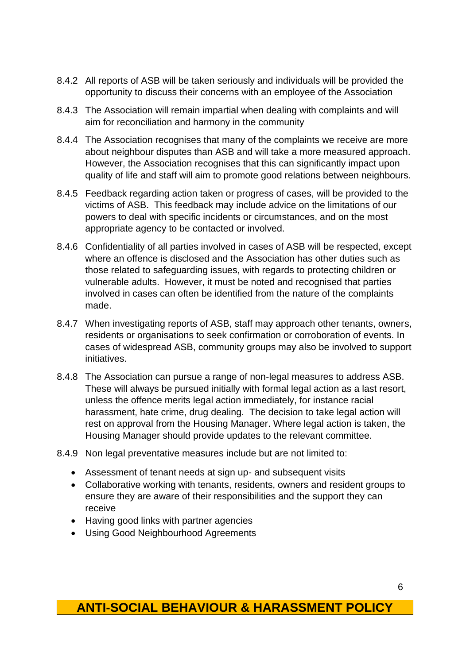- 8.4.2 All reports of ASB will be taken seriously and individuals will be provided the opportunity to discuss their concerns with an employee of the Association
- 8.4.3 The Association will remain impartial when dealing with complaints and will aim for reconciliation and harmony in the community
- 8.4.4 The Association recognises that many of the complaints we receive are more about neighbour disputes than ASB and will take a more measured approach. However, the Association recognises that this can significantly impact upon quality of life and staff will aim to promote good relations between neighbours.
- 8.4.5 Feedback regarding action taken or progress of cases, will be provided to the victims of ASB. This feedback may include advice on the limitations of our powers to deal with specific incidents or circumstances, and on the most appropriate agency to be contacted or involved.
- 8.4.6 Confidentiality of all parties involved in cases of ASB will be respected, except where an offence is disclosed and the Association has other duties such as those related to safeguarding issues, with regards to protecting children or vulnerable adults. However, it must be noted and recognised that parties involved in cases can often be identified from the nature of the complaints made.
- 8.4.7 When investigating reports of ASB, staff may approach other tenants, owners, residents or organisations to seek confirmation or corroboration of events. In cases of widespread ASB, community groups may also be involved to support initiatives.
- 8.4.8 The Association can pursue a range of non-legal measures to address ASB. These will always be pursued initially with formal legal action as a last resort, unless the offence merits legal action immediately, for instance racial harassment, hate crime, drug dealing. The decision to take legal action will rest on approval from the Housing Manager. Where legal action is taken, the Housing Manager should provide updates to the relevant committee.
- 8.4.9 Non legal preventative measures include but are not limited to:
	- Assessment of tenant needs at sign up- and subsequent visits
	- Collaborative working with tenants, residents, owners and resident groups to ensure they are aware of their responsibilities and the support they can receive
	- Having good links with partner agencies
	- Using Good Neighbourhood Agreements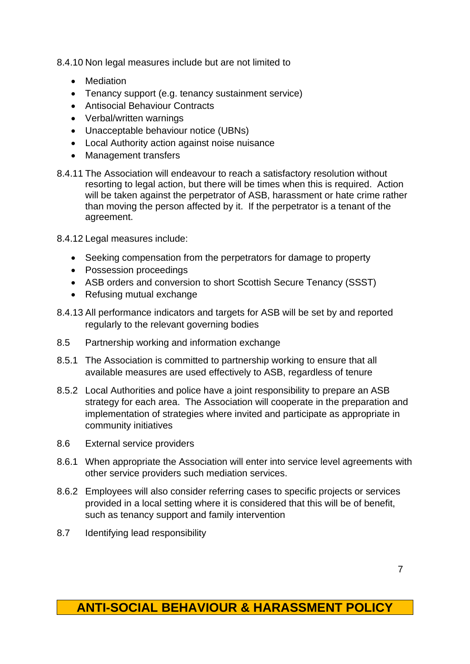8.4.10 Non legal measures include but are not limited to

- Mediation
- Tenancy support (e.g. tenancy sustainment service)
- Antisocial Behaviour Contracts
- Verbal/written warnings
- Unacceptable behaviour notice (UBNs)
- Local Authority action against noise nuisance
- Management transfers
- 8.4.11 The Association will endeavour to reach a satisfactory resolution without resorting to legal action, but there will be times when this is required. Action will be taken against the perpetrator of ASB, harassment or hate crime rather than moving the person affected by it. If the perpetrator is a tenant of the agreement.
- 8.4.12 Legal measures include:
	- Seeking compensation from the perpetrators for damage to property
	- Possession proceedings
	- ASB orders and conversion to short Scottish Secure Tenancy (SSST)
	- Refusing mutual exchange
- 8.4.13 All performance indicators and targets for ASB will be set by and reported regularly to the relevant governing bodies
- 8.5 Partnership working and information exchange
- 8.5.1 The Association is committed to partnership working to ensure that all available measures are used effectively to ASB, regardless of tenure
- 8.5.2 Local Authorities and police have a joint responsibility to prepare an ASB strategy for each area. The Association will cooperate in the preparation and implementation of strategies where invited and participate as appropriate in community initiatives
- 8.6 External service providers
- 8.6.1 When appropriate the Association will enter into service level agreements with other service providers such mediation services.
- 8.6.2 Employees will also consider referring cases to specific projects or services provided in a local setting where it is considered that this will be of benefit, such as tenancy support and family intervention
- 8.7 Identifying lead responsibility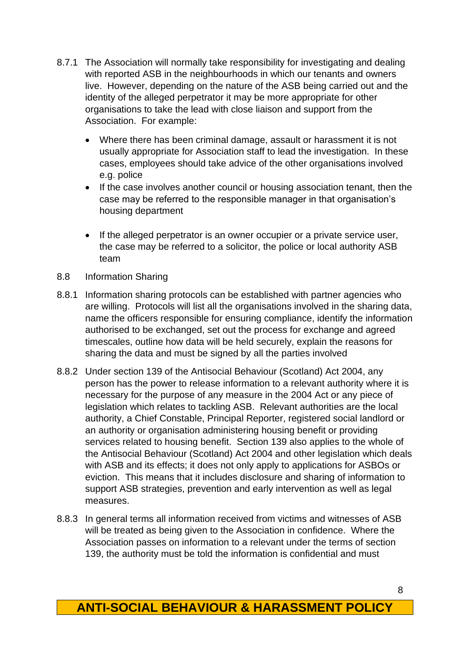- 8.7.1 The Association will normally take responsibility for investigating and dealing with reported ASB in the neighbourhoods in which our tenants and owners live. However, depending on the nature of the ASB being carried out and the identity of the alleged perpetrator it may be more appropriate for other organisations to take the lead with close liaison and support from the Association. For example:
	- Where there has been criminal damage, assault or harassment it is not usually appropriate for Association staff to lead the investigation. In these cases, employees should take advice of the other organisations involved e.g. police
	- If the case involves another council or housing association tenant, then the case may be referred to the responsible manager in that organisation's housing department
	- If the alleged perpetrator is an owner occupier or a private service user, the case may be referred to a solicitor, the police or local authority ASB team
- 8.8 Information Sharing
- 8.8.1 Information sharing protocols can be established with partner agencies who are willing. Protocols will list all the organisations involved in the sharing data, name the officers responsible for ensuring compliance, identify the information authorised to be exchanged, set out the process for exchange and agreed timescales, outline how data will be held securely, explain the reasons for sharing the data and must be signed by all the parties involved
- 8.8.2 Under section 139 of the Antisocial Behaviour (Scotland) Act 2004, any person has the power to release information to a relevant authority where it is necessary for the purpose of any measure in the 2004 Act or any piece of legislation which relates to tackling ASB. Relevant authorities are the local authority, a Chief Constable, Principal Reporter, registered social landlord or an authority or organisation administering housing benefit or providing services related to housing benefit. Section 139 also applies to the whole of the Antisocial Behaviour (Scotland) Act 2004 and other legislation which deals with ASB and its effects; it does not only apply to applications for ASBOs or eviction. This means that it includes disclosure and sharing of information to support ASB strategies, prevention and early intervention as well as legal measures.
- 8.8.3 In general terms all information received from victims and witnesses of ASB will be treated as being given to the Association in confidence. Where the Association passes on information to a relevant under the terms of section 139, the authority must be told the information is confidential and must